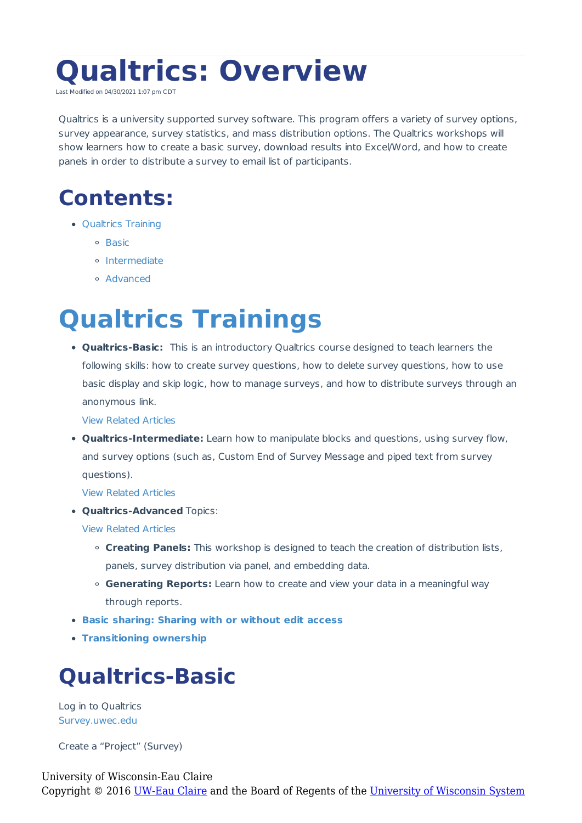# **Qualtrics: Overview**

Last Modified on 04/30/2021 1:07 pm CI

Qualtrics is a university supported survey software. This program offers a variety of survey options, survey appearance, survey statistics, and mass distribution options. The Qualtrics workshops will show learners how to create a basic survey, download results into Excel/Word, and how to create panels in order to distribute a survey to email list of participants.

#### **Contents:**

- Qualtrics Training
	- <sup>o</sup> Basic
	- o Intermediate
	- Advanced

## **Qualtrics Trainings**

**Qualtrics-Basic:** This is an introductory Qualtrics course designed to teach learners the following skills: how to create survey questions, how to delete survey questions, how to use basic display and skip logic, how to manage surveys, and how to distribute surveys through an anonymous link.

View Related Articles

**Qualtrics-Intermediate:** Learn how to manipulate blocks and questions, using survey flow, and survey options (such as, Custom End of Survey Message and piped text from survey questions).

View Related Articles

**Qualtrics-Advanced** Topics:

View Related Articles

- **Creating Panels:** This workshop is designed to teach the creation of distribution lists, panels, survey distribution via panel, and embedding data.
- **Generating Reports:** Learn how to create and view your data in a meaningful way through reports.
- **Basic sharing: Sharing with or without edit access**
- **Transitioning ownership**

#### **Qualtrics-Basic**

Log in to Qualtrics Survey.uwec.edu

Create a "Project" (Survey)

```
University of Wisconsin-Eau Claire
Copyright © 2016 UW-Eau Claire and the Board of Regents of the University of Wisconsin System
```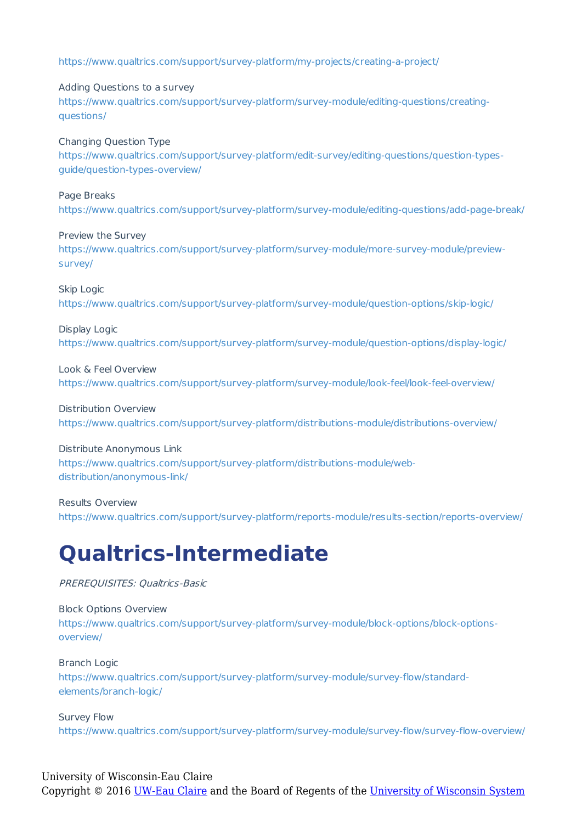https://www.qualtrics.com/support/survey-platform/my-projects/creating-a-project/

Adding Questions to a survey https://www.qualtrics.com/support/survey-platform/survey-module/editing-questions/creatingquestions/

Changing Question Type https://www.qualtrics.com/support/survey-platform/edit-survey/editing-questions/question-typesguide/question-types-overview/

Page Breaks https://www.qualtrics.com/support/survey-platform/survey-module/editing-questions/add-page-break/

Preview the Survey https://www.qualtrics.com/support/survey-platform/survey-module/more-survey-module/previewsurvey/

Skip Logic https://www.qualtrics.com/support/survey-platform/survey-module/question-options/skip-logic/

Display Logic https://www.qualtrics.com/support/survey-platform/survey-module/question-options/display-logic/

Look & Feel Overview https://www.qualtrics.com/support/survey-platform/survey-module/look-feel/look-feel-overview/

Distribution Overview https://www.qualtrics.com/support/survey-platform/distributions-module/distributions-overview/

Distribute Anonymous Link https://www.qualtrics.com/support/survey-platform/distributions-module/webdistribution/anonymous-link/

Results Overview https://www.qualtrics.com/support/survey-platform/reports-module/results-section/reports-overview/

### **Qualtrics-Intermediate**

PREREQUISITES: Qualtrics-Basic

Block Options Overview https://www.qualtrics.com/support/survey-platform/survey-module/block-options/block-optionsoverview/

Branch Logic https://www.qualtrics.com/support/survey-platform/survey-module/survey-flow/standardelements/branch-logic/

Survey Flow https://www.qualtrics.com/support/survey-platform/survey-module/survey-flow/survey-flow-overview/

University of Wisconsin-Eau Claire Copyright © 2016 [UW-Eau Claire](http://www.uwec.edu) and the Board of Regents of the [University of Wisconsin System](http://www.uwsa.edu/)